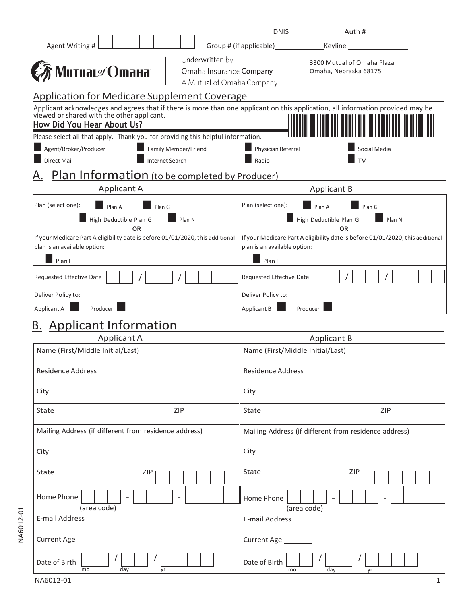|                                                                                                                                                                                                             | Auth #<br><b>DNIS</b>                                                                                                       |  |  |  |
|-------------------------------------------------------------------------------------------------------------------------------------------------------------------------------------------------------------|-----------------------------------------------------------------------------------------------------------------------------|--|--|--|
| Agent Writing #                                                                                                                                                                                             | _Keyline ___                                                                                                                |  |  |  |
| Underwritten by<br>$\hat{y}$ Muтual $\mathscr{O}$ Mana<br>Omaha Insurance Company<br>A Mutual of Omaha Company                                                                                              | 3300 Mutual of Omaha Plaza<br>Omaha, Nebraska 68175                                                                         |  |  |  |
| <b>Application for Medicare Supplement Coverage</b>                                                                                                                                                         |                                                                                                                             |  |  |  |
| Applicant acknowledges and agrees that if there is more than one applicant on this application, all information provided may be<br>viewed or shared with the other applicant.<br>How Did You Hear About Us? |                                                                                                                             |  |  |  |
| Please select all that apply. Thank you for providing this helpful information.                                                                                                                             |                                                                                                                             |  |  |  |
| Agent/Broker/Producer<br>Family Member/Friend                                                                                                                                                               | Physician Referral<br>Social Media                                                                                          |  |  |  |
| <b>Direct Mail</b><br><b>Internet Search</b>                                                                                                                                                                | Radio<br><b>TV</b>                                                                                                          |  |  |  |
| Plan Information (to be completed by Producer)                                                                                                                                                              |                                                                                                                             |  |  |  |
| Applicant A                                                                                                                                                                                                 | <b>Applicant B</b>                                                                                                          |  |  |  |
| Plan (select one):<br>Plan A<br>Plan G                                                                                                                                                                      | Plan (select one):<br>Plan A<br>Plan G                                                                                      |  |  |  |
| High Deductible Plan G<br>Plan N                                                                                                                                                                            | High Deductible Plan G<br>Plan N                                                                                            |  |  |  |
| OR<br>If your Medicare Part A eligibility date is before 01/01/2020, this additional<br>plan is an available option:                                                                                        | <b>OR</b><br>If your Medicare Part A eligibility date is before 01/01/2020, this additional<br>plan is an available option: |  |  |  |
| $\blacksquare$ Plan F                                                                                                                                                                                       | Plan F                                                                                                                      |  |  |  |
| Requested Effective Date                                                                                                                                                                                    | Requested Effective Date                                                                                                    |  |  |  |
| Deliver Policy to:<br>Deliver Policy to:                                                                                                                                                                    |                                                                                                                             |  |  |  |
| Applicant A<br>Producer                                                                                                                                                                                     | Producer<br>Applicant B                                                                                                     |  |  |  |
| <b>Applicant Information</b>                                                                                                                                                                                |                                                                                                                             |  |  |  |
| <b>Applicant A</b>                                                                                                                                                                                          | <b>Applicant B</b>                                                                                                          |  |  |  |
| Name (First/Middle Initial/Last)                                                                                                                                                                            | Name (First/Middle Initial/Last)                                                                                            |  |  |  |
| <b>Residence Address</b>                                                                                                                                                                                    | <b>Residence Address</b>                                                                                                    |  |  |  |
| City                                                                                                                                                                                                        | City                                                                                                                        |  |  |  |
| ZIP<br>State                                                                                                                                                                                                | ZIP<br>State                                                                                                                |  |  |  |
| Mailing Address (if different from residence address)                                                                                                                                                       | Mailing Address (if different from residence address)                                                                       |  |  |  |
| City                                                                                                                                                                                                        | City                                                                                                                        |  |  |  |
| State<br>ZIP                                                                                                                                                                                                | State<br>ZIP                                                                                                                |  |  |  |
| Home Phone<br>(area code)                                                                                                                                                                                   | Home Phone<br>(area code)                                                                                                   |  |  |  |
| E-mail Address                                                                                                                                                                                              | E-mail Address                                                                                                              |  |  |  |
| Current Age _                                                                                                                                                                                               | Current Age                                                                                                                 |  |  |  |
| Date of Birth<br>mo<br>day<br>yr                                                                                                                                                                            | Date of Birth<br>day<br>mo<br>yr                                                                                            |  |  |  |

NA6012-01 NA6012-01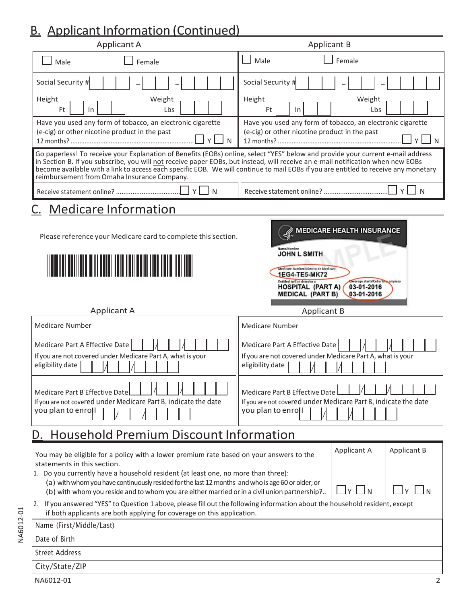## B. Applicant Information (Continued)

| 11 11 01 11 1 1 0 L 1 0 1 1<br><b>Applicant A</b>                                                                                                                                                                                                                                                                                                                                                                                                                                                                                                                                                                          | <b>Applicant B</b>                                                                                                                                                                                                                                                                                      |
|----------------------------------------------------------------------------------------------------------------------------------------------------------------------------------------------------------------------------------------------------------------------------------------------------------------------------------------------------------------------------------------------------------------------------------------------------------------------------------------------------------------------------------------------------------------------------------------------------------------------------|---------------------------------------------------------------------------------------------------------------------------------------------------------------------------------------------------------------------------------------------------------------------------------------------------------|
|                                                                                                                                                                                                                                                                                                                                                                                                                                                                                                                                                                                                                            | Male                                                                                                                                                                                                                                                                                                    |
| Male<br>Female                                                                                                                                                                                                                                                                                                                                                                                                                                                                                                                                                                                                             | Female                                                                                                                                                                                                                                                                                                  |
| Social Security #                                                                                                                                                                                                                                                                                                                                                                                                                                                                                                                                                                                                          | Social Security #                                                                                                                                                                                                                                                                                       |
| Height<br>Weight<br>Ft<br>Lbs<br>In.                                                                                                                                                                                                                                                                                                                                                                                                                                                                                                                                                                                       | Height<br>Weight<br><b>Ft</b><br>Lbs<br>In                                                                                                                                                                                                                                                              |
| Have you used any form of tobacco, an electronic cigarette<br>(e-cig) or other nicotine product in the past                                                                                                                                                                                                                                                                                                                                                                                                                                                                                                                | Have you used any form of tobacco, an electronic cigarette<br>(e-cig) or other nicotine product in the past                                                                                                                                                                                             |
| Go paperless! To receive your Explanation of Benefits (EOBs) online, select "YES" below and provide your current e-mail address<br>in Section B. If you subscribe, you will not receive paper EOBs, but instead, will receive an e-mail notification when new EOBs<br>become available with a link to access each specific EOB. We will continue to mail EOBs if you are entitled to receive any monetary<br>reimbursement from Omaha Insurance Company.                                                                                                                                                                   |                                                                                                                                                                                                                                                                                                         |
| I N<br>Receive statement online?                                                                                                                                                                                                                                                                                                                                                                                                                                                                                                                                                                                           | $\overline{N}$                                                                                                                                                                                                                                                                                          |
| C. Medicare Information                                                                                                                                                                                                                                                                                                                                                                                                                                                                                                                                                                                                    |                                                                                                                                                                                                                                                                                                         |
| Please reference your Medicare card to complete this section.<br><u>MATININI MATINI MANJI</u><br><b>Applicant A</b>                                                                                                                                                                                                                                                                                                                                                                                                                                                                                                        | <b>MEDICARE HEALTH INSURANCE</b><br>Name/Nombre<br><b>JOHN L SMITH</b><br>Medicare Number/Número de Medicare<br>1EG4-TE5-MK72<br>Entitled to/Con derecho a<br>bverage starts/Coberture empieza<br><b>HOSPITAL (PART A)</b><br>03-01-2016<br><b>MEDICAL (PART B)</b><br>03-01-2016<br><b>Applicant B</b> |
| <b>Medicare Number</b>                                                                                                                                                                                                                                                                                                                                                                                                                                                                                                                                                                                                     | <b>Medicare Number</b>                                                                                                                                                                                                                                                                                  |
|                                                                                                                                                                                                                                                                                                                                                                                                                                                                                                                                                                                                                            |                                                                                                                                                                                                                                                                                                         |
| Medicare Part A Effective Date<br>If you are not covered under Medicare Part A, what is your<br>eligibility date                                                                                                                                                                                                                                                                                                                                                                                                                                                                                                           | Medicare Part A Effective Date<br>If you are not covered under Medicare Part A, what is your<br>eligibility date                                                                                                                                                                                        |
| Medicare Part B Effective Date<br>If you are not covered under Medicare Part B, indicate the date<br>you plan to enroji                                                                                                                                                                                                                                                                                                                                                                                                                                                                                                    | Medicare Part B Effective Date<br>If you are not covered under Medicare Part B, indicate the date<br>you plan to enroll                                                                                                                                                                                 |
| <b>D.</b> Household Premium Discount Information                                                                                                                                                                                                                                                                                                                                                                                                                                                                                                                                                                           |                                                                                                                                                                                                                                                                                                         |
| You may be eligible for a policy with a lower premium rate based on your answers to the<br>statements in this section.<br>1. Do you currently have a household resident (at least one, no more than three):<br>(a) with whom you have continuously resided for the last 12 months and who is age 60 or older; or<br>(b) with whom you reside and to whom you are either married or in a civil union partnership?<br>2. If you answered "YES" to Question 1 above, please fill out the following information about the household resident, except<br>if both applicants are both applying for coverage on this application. | <b>Applicant A</b><br><b>Applicant B</b><br>$\Box$ N<br>$\vert \vee \vert$                                                                                                                                                                                                                              |
| Name (First/Middle/Last)                                                                                                                                                                                                                                                                                                                                                                                                                                                                                                                                                                                                   |                                                                                                                                                                                                                                                                                                         |
| Date of Birth                                                                                                                                                                                                                                                                                                                                                                                                                                                                                                                                                                                                              |                                                                                                                                                                                                                                                                                                         |
|                                                                                                                                                                                                                                                                                                                                                                                                                                                                                                                                                                                                                            |                                                                                                                                                                                                                                                                                                         |
|                                                                                                                                                                                                                                                                                                                                                                                                                                                                                                                                                                                                                            |                                                                                                                                                                                                                                                                                                         |
| <b>Street Address</b><br>City/State/ZIP                                                                                                                                                                                                                                                                                                                                                                                                                                                                                                                                                                                    |                                                                                                                                                                                                                                                                                                         |

NA6012-01

NA6012-01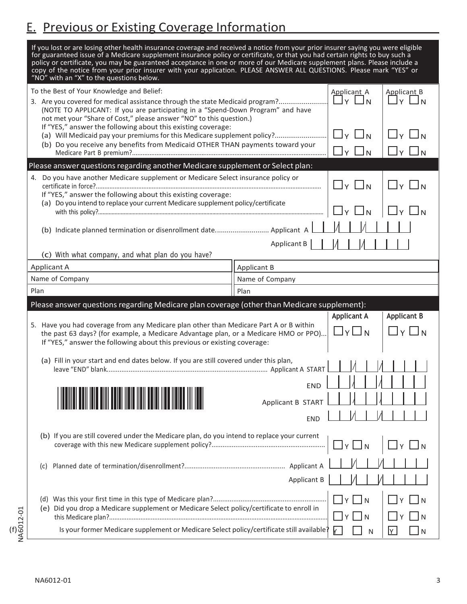# E. Previous or Existing Coverage Information

| for guaranteed issue of a Medicare supplement insurance policy or certificate, or that you had certain rights to buy such a<br>"NO" with an "X" to the questions below.                                                                                                              | If you lost or are losing other health insurance coverage and received a notice from your prior insurer saying you were eligible<br>policy or certificate, you may be guaranteed acceptance in one or more of our Medicare supplement plans. Please include a<br>copy of the notice from your prior insurer with your application. PLEASE ANSWER ALL QUESTIONS. Please mark "YES" or |
|--------------------------------------------------------------------------------------------------------------------------------------------------------------------------------------------------------------------------------------------------------------------------------------|--------------------------------------------------------------------------------------------------------------------------------------------------------------------------------------------------------------------------------------------------------------------------------------------------------------------------------------------------------------------------------------|
| To the Best of Your Knowledge and Belief:<br>3. Are you covered for medical assistance through the state Medicaid program?<br>(NOTE TO APPLICANT: If you are participating in a "Spend-Down Program" and have<br>not met your "Share of Cost," please answer "NO" to this question.) | Applicant A<br>Applicant B<br>$\Box$ y $\Box$ n<br>Y                                                                                                                                                                                                                                                                                                                                 |
| If "YES," answer the following about this existing coverage:<br>(a) Will Medicaid pay your premiums for this Medicare supplement policy?<br>(b) Do you receive any benefits from Medicaid OTHER THAN payments toward your                                                            | $\Box$ y $\Box$ n<br>$\Box$ y $\Box$ n<br>Y.                                                                                                                                                                                                                                                                                                                                         |
| Please answer questions regarding another Medicare supplement or Select plan:                                                                                                                                                                                                        |                                                                                                                                                                                                                                                                                                                                                                                      |
| Do you have another Medicare supplement or Medicare Select insurance policy or<br>4.<br>If "YES," answer the following about this existing coverage:                                                                                                                                 | $\sqcup$ y $\sqcup$ n                                                                                                                                                                                                                                                                                                                                                                |
| (a) Do you intend to replace your current Medicare supplement policy/certificate                                                                                                                                                                                                     |                                                                                                                                                                                                                                                                                                                                                                                      |
| (b) Indicate planned termination or disenrollment date Applicant A                                                                                                                                                                                                                   |                                                                                                                                                                                                                                                                                                                                                                                      |
|                                                                                                                                                                                                                                                                                      | Applicant B                                                                                                                                                                                                                                                                                                                                                                          |
| (c) With what company, and what plan do you have?                                                                                                                                                                                                                                    |                                                                                                                                                                                                                                                                                                                                                                                      |
| <b>Applicant A</b>                                                                                                                                                                                                                                                                   | <b>Applicant B</b>                                                                                                                                                                                                                                                                                                                                                                   |
| Name of Company                                                                                                                                                                                                                                                                      | Name of Company                                                                                                                                                                                                                                                                                                                                                                      |
| Plan                                                                                                                                                                                                                                                                                 | Plan                                                                                                                                                                                                                                                                                                                                                                                 |
|                                                                                                                                                                                                                                                                                      |                                                                                                                                                                                                                                                                                                                                                                                      |
|                                                                                                                                                                                                                                                                                      |                                                                                                                                                                                                                                                                                                                                                                                      |
| Please answer questions regarding Medicare plan coverage (other than Medicare supplement):                                                                                                                                                                                           | <b>Applicant A</b><br><b>Applicant B</b>                                                                                                                                                                                                                                                                                                                                             |
| 5. Have you had coverage from any Medicare plan other than Medicare Part A or B within<br>the past 63 days? (for example, a Medicare Advantage plan, or a Medicare HMO or PPO)<br>If "YES," answer the following about this previous or existing coverage:                           | $\Box$ y $\Box$ n                                                                                                                                                                                                                                                                                                                                                                    |
| (a) Fill in your start and end dates below. If you are still covered under this plan,                                                                                                                                                                                                |                                                                                                                                                                                                                                                                                                                                                                                      |
|                                                                                                                                                                                                                                                                                      | <b>END</b>                                                                                                                                                                                                                                                                                                                                                                           |
|                                                                                                                                                                                                                                                                                      |                                                                                                                                                                                                                                                                                                                                                                                      |
| <u>TII ITTIIN TIITIIN ITTIIN T</u>                                                                                                                                                                                                                                                   | Applicant B START                                                                                                                                                                                                                                                                                                                                                                    |
|                                                                                                                                                                                                                                                                                      | <b>END</b>                                                                                                                                                                                                                                                                                                                                                                           |
|                                                                                                                                                                                                                                                                                      |                                                                                                                                                                                                                                                                                                                                                                                      |
| (b) If you are still covered under the Medicare plan, do you intend to replace your current                                                                                                                                                                                          | $\sqcup$ Y $\sqcup$ N                                                                                                                                                                                                                                                                                                                                                                |
| (c)                                                                                                                                                                                                                                                                                  |                                                                                                                                                                                                                                                                                                                                                                                      |
|                                                                                                                                                                                                                                                                                      | Applicant B                                                                                                                                                                                                                                                                                                                                                                          |
|                                                                                                                                                                                                                                                                                      | $\mathsf{I}$ Y<br>N                                                                                                                                                                                                                                                                                                                                                                  |
| (e) Did you drop a Medicare supplement or Medicare Select policy/certificate to enroll in<br>A6012-01                                                                                                                                                                                | 1 N                                                                                                                                                                                                                                                                                                                                                                                  |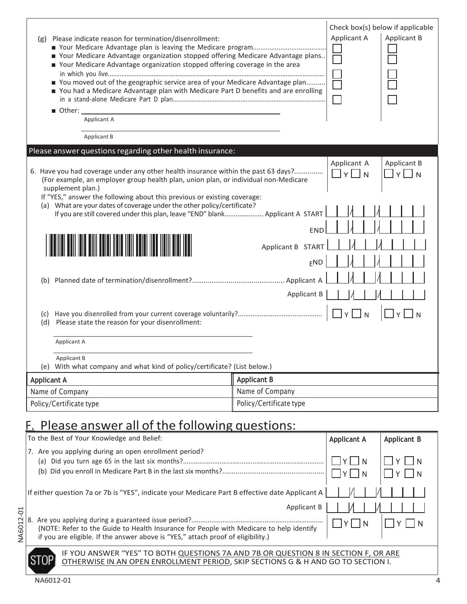| (g)                | Please indicate reason for termination/disenrollment:<br>■ Your Medicare Advantage organization stopped offering Medicare Advantage plans<br>■ Your Medicare Advantage organization stopped offering coverage in the area<br>You moved out of the geographic service area of your Medicare Advantage plan<br>■ You had a Medicare Advantage plan with Medicare Part D benefits and are enrolling<br>Other:<br>Applicant A              |                                        | Applicant A                                   | Check box(s) below if applicable<br>Applicant B |
|--------------------|----------------------------------------------------------------------------------------------------------------------------------------------------------------------------------------------------------------------------------------------------------------------------------------------------------------------------------------------------------------------------------------------------------------------------------------|----------------------------------------|-----------------------------------------------|-------------------------------------------------|
|                    | Applicant B                                                                                                                                                                                                                                                                                                                                                                                                                            |                                        |                                               |                                                 |
|                    | Please answer questions regarding other health insurance:                                                                                                                                                                                                                                                                                                                                                                              |                                        |                                               |                                                 |
|                    | 6. Have you had coverage under any other health insurance within the past 63 days?<br>(For example, an employer group health plan, union plan, or individual non-Medicare<br>supplement plan.)<br>If "YES," answer the following about this previous or existing coverage:<br>(a) What are your dates of coverage under the other policy/certificate?<br>If you are still covered under this plan, leave "END" blank Applicant A START | <b>FND</b><br>Applicant B START<br>FND | Applicant A<br>$\mathsf{Y}$<br>$\overline{N}$ | <b>Applicant B</b>                              |
|                    |                                                                                                                                                                                                                                                                                                                                                                                                                                        | Applicant B                            |                                               |                                                 |
|                    | (d) Please state the reason for your disenrollment:                                                                                                                                                                                                                                                                                                                                                                                    |                                        |                                               |                                                 |
|                    | Applicant A                                                                                                                                                                                                                                                                                                                                                                                                                            |                                        |                                               |                                                 |
|                    | <b>Applicant B</b><br>(e) With what company and what kind of policy/certificate? (List below.)                                                                                                                                                                                                                                                                                                                                         |                                        |                                               |                                                 |
| <b>Applicant A</b> |                                                                                                                                                                                                                                                                                                                                                                                                                                        | <b>Applicant B</b>                     |                                               |                                                 |
|                    | Name of Company                                                                                                                                                                                                                                                                                                                                                                                                                        |                                        |                                               |                                                 |
|                    | Policy/Certificate type                                                                                                                                                                                                                                                                                                                                                                                                                | Policy/Certificate type                |                                               |                                                 |
|                    | <u>Please answer all of the following questions:</u>                                                                                                                                                                                                                                                                                                                                                                                   |                                        |                                               |                                                 |
|                    | To the Best of Your Knowledge and Belief:                                                                                                                                                                                                                                                                                                                                                                                              |                                        | <b>Applicant A</b>                            | <b>Applicant B</b>                              |
|                    | 7. Are you applying during an open enrollment period?                                                                                                                                                                                                                                                                                                                                                                                  |                                        |                                               |                                                 |

|      | If either question 7a or 7b is "YES", indicate your Medicare Part B effective date Applicant A                                                                              |  |
|------|-----------------------------------------------------------------------------------------------------------------------------------------------------------------------------|--|
|      | Applicant B                                                                                                                                                                 |  |
| A601 | (NOTE: Refer to the Guide to Health Insurance for People with Medicare to help identify<br>if you are eligible. If the answer above is "YES," attach proof of eligibility.) |  |
|      | IF YOU ANSWER "YES" TO BOTH QUESTIONS 7A AND 7B OR QUESTION 8 IN SECTION F, OR ARE<br>OTHERWISE IN AN OPEN ENROLLMENT PERIOD, SKIP SECTIONS G & H AND GO TO SECTION I.      |  |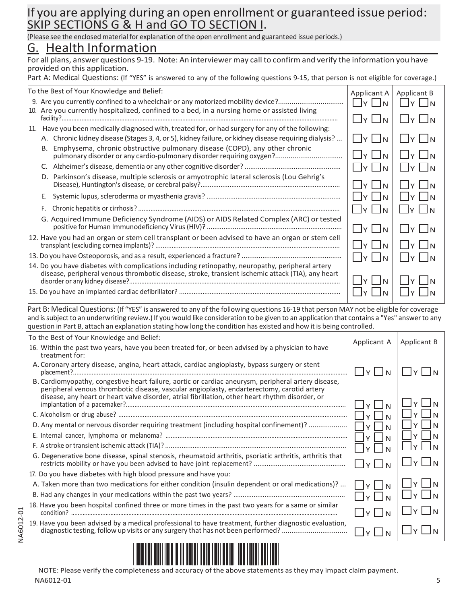### If you are applying during an open enrollment or guaranteed issue period: SKIP SECTIONS G & H and GO TO SECTION I.

(Please see the enclosed material for explanation ofthe open enrollment and guaranteed issue periods.)

### G. Health Information

**VA6012-01** NA6012-01 For all plans, answer questions 9-19. Note: An interviewer may call to confirm and verify the information you have provided on this application.

Part A: Medical Questions: (If "YES" is answered to any of the following questions 9-15, that person is not eligible for coverage.)

|     | To the Best of Your Knowledge and Belief:                                                                                                                                                             | Applicant A                                       | Applicant B                                             |
|-----|-------------------------------------------------------------------------------------------------------------------------------------------------------------------------------------------------------|---------------------------------------------------|---------------------------------------------------------|
|     | 9. Are you currently confined to a wheelchair or any motorized mobility device?                                                                                                                       | $\Box$ y $\Box$ n                                 | $\Box$ y $\Box$ n                                       |
|     | 10. Are you currently hospitalized, confined to a bed, in a nursing home or assisted living                                                                                                           | $\Box$ y $\Box$ n                                 | $\Box$ y $\Box$ n                                       |
| 11. | Have you been medically diagnosed with, treated for, or had surgery for any of the following:                                                                                                         |                                                   |                                                         |
|     | A. Chronic kidney disease (Stages 3, 4, or 5), kidney failure, or kidney disease requiring dialysis?                                                                                                  | $\Box$ y $\Box$ n                                 | $\vert \ \vert_Y \vert \ \vert_N$                       |
|     | Emphysema, chronic obstructive pulmonary disease (COPD), any other chronic<br>pulmonary disorder or any cardio-pulmonary disorder requiring oxygen?                                                   | $\Box$ Y $\Box$ N                                 | I Iv I In                                               |
|     |                                                                                                                                                                                                       | $\Box$ y $\Box$ n                                 | $ $ $ $ $\vee$ $ $ $\Box$ $\wedge$                      |
|     | D. Parkinson's disease, multiple sclerosis or amyotrophic lateral sclerosis (Lou Gehrig's                                                                                                             | IN.                                               |                                                         |
|     |                                                                                                                                                                                                       | I Y I IN                                          | IIVIIN                                                  |
|     |                                                                                                                                                                                                       | $\Box$ y $\Box$ n                                 | I IYI IN                                                |
|     | G. Acquired Immune Deficiency Syndrome (AIDS) or AIDS Related Complex (ARC) or tested                                                                                                                 | I ∃Y ∟IN                                          | y                                                       |
|     | 12. Have you had an organ or stem cell transplant or been advised to have an organ or stem cell                                                                                                       | $\overline{\phantom{a}}$ $\overline{\phantom{a}}$ | IIvIIN                                                  |
|     |                                                                                                                                                                                                       | $\Box$ y $\Box$ n                                 | $\mathsf{l}$ $\mathsf{l}$ y $\mathsf{l}$ $\mathsf{l}$ n |
|     | 14. Do you have diabetes with complications including retinopathy, neuropathy, peripheral artery<br>disease, peripheral venous thrombotic disease, stroke, transient ischemic attack (TIA), any heart | <b>IN</b>                                         |                                                         |
|     |                                                                                                                                                                                                       | $\Box$ N                                          |                                                         |

Part B: Medical Questions: (If "YES" is answered to any of the following questions 16-19 that person MAY not be eligible for coverage and issubject to an underwriting review.) If you would like consideration to be given to an application that contains a "Yes" answerto any question in Part B, attach an explanation stating how long the condition has existed and how it is being controlled.

| To the Best of Your Knowledge and Belief:                                                                                                                                                         | Applicant A                     | Applicant B |
|---------------------------------------------------------------------------------------------------------------------------------------------------------------------------------------------------|---------------------------------|-------------|
| 16. Within the past two years, have you been treated for, or been advised by a physician to have<br>treatment for:                                                                                |                                 |             |
| A. Coronary artery disease, angina, heart attack, cardiac angioplasty, bypass surgery or stent                                                                                                    | $ $ $ $ $\vee$ $ $ $ $ $\wedge$ |             |
| B. Cardiomyopathy, congestive heart failure, aortic or cardiac aneurysm, peripheral artery disease,<br>peripheral venous thrombotic disease, vascular angioplasty, endarterectomy, carotid artery |                                 |             |
| disease, any heart or heart valve disorder, atrial fibrillation, other heart rhythm disorder, or                                                                                                  |                                 |             |
|                                                                                                                                                                                                   |                                 |             |
| D. Any mental or nervous disorder requiring treatment (including hospital confinement)?                                                                                                           |                                 |             |
|                                                                                                                                                                                                   | $\mathsf{I}_{\mathsf{Y}}$ .     |             |
|                                                                                                                                                                                                   | l Ivl<br>l N                    |             |
| G. Degenerative bone disease, spinal stenosis, rheumatoid arthritis, psoriatic arthritis, arthritis that                                                                                          | IIYIIN                          | IVIN        |
| 17. Do you have diabetes with high blood pressure and have you:                                                                                                                                   |                                 |             |
| A. Taken more than two medications for either condition (insulin dependent or oral medications)?                                                                                                  | ∪γ∣                             |             |
|                                                                                                                                                                                                   | $\mathbf{r}$                    |             |
| 18. Have you been hospital confined three or more times in the past two years for a same or similar                                                                                               | N                               |             |
| 19. Have you been advised by a medical professional to have treatment, further diagnostic evaluation,<br>diagnostic testing, follow up visits or any surgery that has not been performed?         |                                 |             |



 $N_A 6012-01$  5 NOTE: Please verify the completeness and accuracy of the above statements as they may impact claim payment.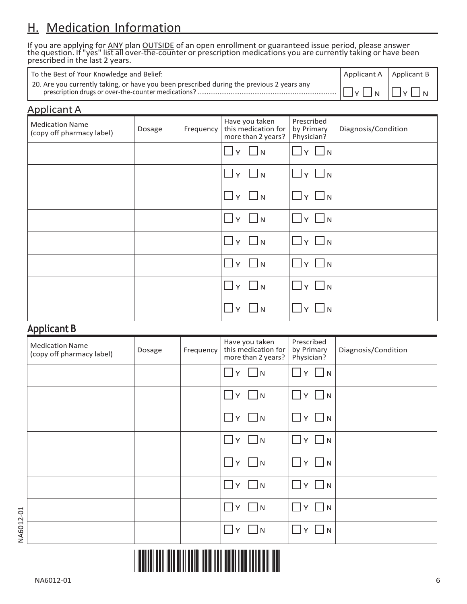## H. Medication Information

If you are applying for ANY plan OUTSIDE of an open enrollment or guaranteed issue period, please answer the question. If "yes" li<del>st all</del> over<del>-the-coun</del>ter or prescription medications you are currently taking or have been prescribed in the last 2 years.

| To the Best of Your Knowledge and Belief:                                                 | Applicant A   Applicant B |                                                                   |
|-------------------------------------------------------------------------------------------|---------------------------|-------------------------------------------------------------------|
| 20. Are you currently taking, or have you been prescribed during the previous 2 years any |                           | $\vert \vee \vert$ $\vert \wedge \vert \sqcap \vee \sqcap \wedge$ |

### Applicant A

| <b>Medication Name</b><br>(copy off pharmacy label) | Dosage | Frequency | Have you taken<br>this medication for<br>more than 2 years? | Prescribed<br>by Primary<br>Physician? | Diagnosis/Condition |
|-----------------------------------------------------|--------|-----------|-------------------------------------------------------------|----------------------------------------|---------------------|
|                                                     |        |           | $\Box$ N<br>$\gamma$                                        | $\Box$ $\vee$ $\Box$ $\vee$            |                     |
|                                                     |        |           | $\Box$ N<br>∐y                                              | $\Box$ $\vee$ $\Box$ $\vee$            |                     |
|                                                     |        |           | $\Box$ N<br>∐Y                                              | $\Box$ $\vee$ $\Box$ $\vee$            |                     |
|                                                     |        |           | $\Box$ N<br>∐y                                              | $\Box$ $\vee$ $\Box$ $\vee$            |                     |
|                                                     |        |           | $\Box$ N<br>∐ y                                             | $\Box$ $\vee$ $\Box$ $\vee$            |                     |
|                                                     |        |           | $\Box$ N<br>$\mathbf{r}$                                    | $\Box$ $\vee$ $\Box$ $\vee$            |                     |
|                                                     |        |           | — N<br>Y                                                    | $\Box$ $\vee$ $\Box$ $\vee$            |                     |
|                                                     |        |           | $\Box$ N<br>$\vee$                                          | ∐y ∐n                                  |                     |

### **Applicant B**

| <b>Medication Name</b><br>(copy off pharmacy label) | Dosage | Frequency | Have you taken<br>this medication for<br>more than 2 years? | Prescribed<br>by Primary<br>Physician? | Diagnosis/Condition |
|-----------------------------------------------------|--------|-----------|-------------------------------------------------------------|----------------------------------------|---------------------|
|                                                     |        |           | ∐ N<br>Y                                                    | l N                                    |                     |
|                                                     |        |           | $\vee$<br>∐ N                                               | ١N<br>$\vee$                           |                     |
|                                                     |        |           | $\mathsf{Y}$<br>∐ N                                         | ١N<br>Y                                |                     |
|                                                     |        |           | ∐ N<br>$\vee$                                               | İм<br>$\vee$                           |                     |
|                                                     |        |           | $\sqrt{N}$<br>Y                                             | $\Box N$<br>$\mathsf{Y}$               |                     |
|                                                     |        |           | $\mathsf{N}$<br>$\vee$                                      | $\Box$ N<br>Y                          |                     |
|                                                     |        |           | $\overline{N}$<br>Y                                         | ļм<br>Y                                |                     |
| NA6012-01                                           |        |           | I N                                                         | I <sub>N</sub><br>Υ                    |                     |

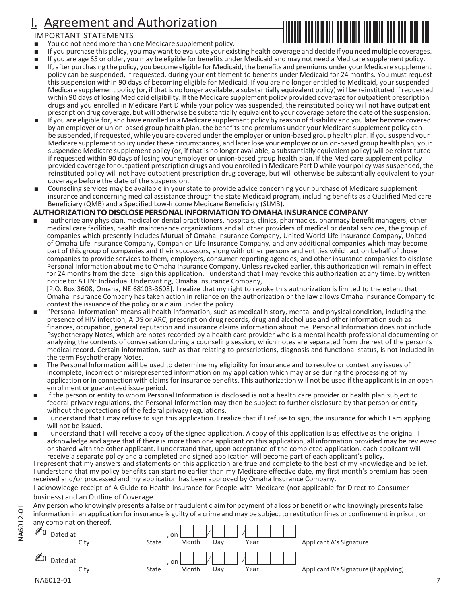## Agreement and Authorization

#### IMPORTANT STATEMENTS

- You do not need more than one Medicare supplement policy.
- If you purchase this policy, you may want to evaluate your existing health coverage and decide if you need multiple coverages.
- If you are age 65 or older, you may be eligible for benefits under Medicaid and may not need a Medicare supplement policy.
- If, after purchasing the policy, you become eligible for Medicaid, the benefits and premiums under your Medicare supplement policy can be suspended, if requested, during your entitlement to benefits under Medicaid for 24 months. You must request this suspension within 90 days of becoming eligible for Medicaid. If you are no longer entitled to Medicaid, your suspended Medicare supplement policy (or, if that is no longer available, a substantially equivalent policy) will be reinstituted if requested within 90 days of losing Medicaid eligibility. If the Medicare supplement policy provided coverage for outpatient prescription drugs and you enrolled in Medicare Part D while your policy was suspended, the reinstituted policy will not have outpatient prescription drug coverage, but will otherwise be substantially equivalent to your coverage before the date of the suspension.
- If you are eligible for, and have enrolled in a Medicare supplement policy by reason of disability and you later become covered by an employer or union-based group health plan, the benefits and premiums under your Medicare supplement policy can be suspended, ifrequested, while you are covered under the employer or union-based group health plan. If you suspend your Medicare supplement policy under these circumstances, and later lose your employer or union-based group health plan, your suspended Medicare supplement policy (or, if that is no longer available, a substantially equivalent policy) will be reinstituted if requested within 90 days of losing your employer or union-based group health plan. If the Medicare supplement policy provided coverage for outpatient prescription drugs and you enrolled in Medicare Part D while your policy wassuspended, the reinstituted policy will not have outpatient prescription drug coverage, but will otherwise be substantially equivalent to your coverage before the date of the suspension.
- Counseling services may be available in your state to provide advice concerning your purchase of Medicare supplement insurance and concerning medical assistance through the state Medicaid program, including benefits as a Qualified Medicare Beneficiary (QMB) and a Specified Low-Income Medicare Beneficiary (SLMB).

#### **AUTHORIZATIONTODISCLOSEPERSONAL INFORMATIONTOOMAHAINSURANCECOMPANY**

I authorize any physician, medical or dental practitioners, hospitals, clinics, pharmacies, pharmacy benefit managers, other medical care facilities, health maintenance organizations and all other providers of medical or dental services, the group of companies which presently includes Mutual of Omaha Insurance Company, United World Life Insurance Company, United of Omaha Life Insurance Company, Companion Life Insurance Company, and any additional companies which may become part of this group of companies and their successors, along with other persons and entities which act on behalf of those companies to provide services to them, employers, consumer reporting agencies, and other insurance companies to disclose Personal Information about me to Omaha Insurance Company. Unless revoked earlier, this authorization will remain in effect for 24 months from the date I sign this application. I understand that I may revoke this authorization at any time, by written notice to: ATTN: Individual Underwriting, Omaha Insurance Company,

[P.O. Box 3608, Omaha, NE 68103-3608]. I realize that my right to revoke this authorization is limited to the extent that Omaha Insurance Company has taken action in reliance on the authorization or the law allows Omaha Insurance Company to contest the issuance of the policy or a claim under the policy.

- "Personal Information" means all health information, such as medical history, mental and physical condition, including the presence of HIV infection, AIDS or ARC, prescription drug records, drug and alcohol use and other information such as finances, occupation, general reputation and insurance claims information about me. Personal Information does not include Psychotherapy Notes, which are notes recorded by a health care provider who is a mental health professional documenting or analyzing the contents of conversation during a counseling session, which notes are separated from the rest of the person's medical record. Certain information, such as that relating to prescriptions, diagnosis and functional status, is not included in the term Psychotherapy Notes.
- The Personal Information will be used to determine my eligibility for insurance and to resolve or contest any issues of incomplete, incorrect or misrepresented information on my application which may arise during the processing of my application or in connection with claims for insurance benefits. This authorization will not be used if the applicant is in an open enrollment or guaranteed issue period.
- If the person or entity to whom Personal Information is disclosed is not a health care provider or health plan subject to federal privacy regulations, the Personal Information may then be subject to further disclosure by that person or entity without the protections of the federal privacy regulations.
- I understand that I may refuse to sign this application. I realize that if I refuse to sign, the insurance for which I am applying will not be issued.
- I understand that I will receive a copy of the signed application. A copy of this application is as effective as the original. I acknowledge and agree that if there is more than one applicant on this application, all information provided may be reviewed or shared with the other applicant. I understand that, upon acceptance of the completed application, each applicant will receive a separate policy and a completed and signed application will become part of each applicant's policy.

I represent that my answers and statements on this application are true and complete to the best of my knowledge and belief. I understand that my policy benefits can start no earlier than my Medicare effective date, my first month's premium has been received and/or processed and my application has been approved by Omaha Insurance Company.

I acknowledge receipt of A Guide to Health Insurance for People with Medicare (not applicable for Direct-to-Consumer business) and an Outline of Coverage.

Any person who knowingly presents a false or fraudulent claim for payment of a loss or benefit or who knowingly presents false information in an application for insurance is guilty of a crime and may be subject to restitution fines or confinement in prison, or any combination thereof.